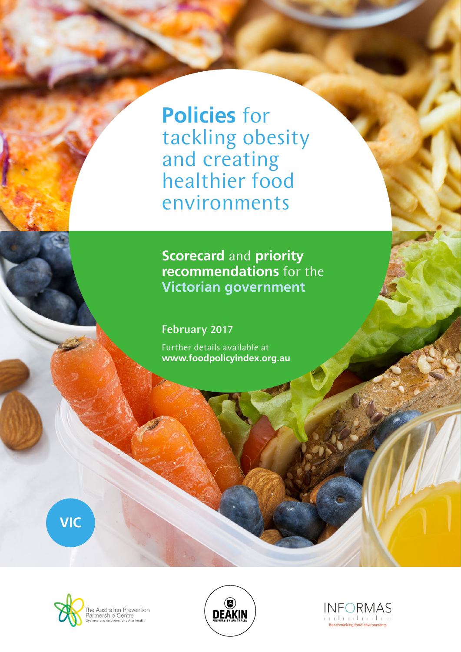**Policies** for tackling obesity and creating healthier food environments

**Scorecard** and **priority recommendations** for the **Victorian government**

February 2017

Further details available at **www.foodpolicyindex.org.au**

**VIC**





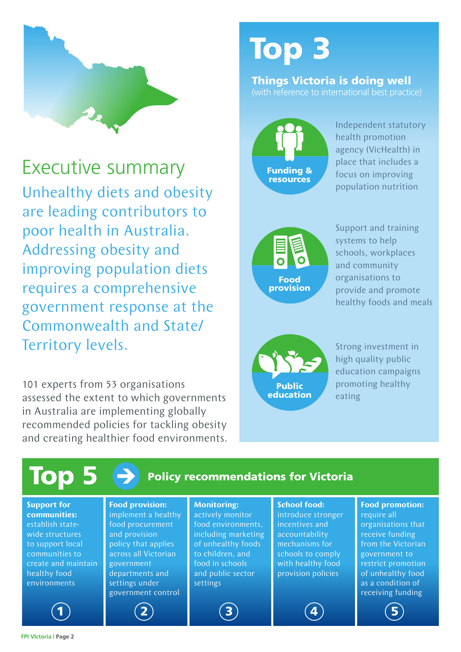

Executive summary Unhealthy diets and obesity are leading contributors to poor health in Australia. Addressing obesity and improving population diets requires a comprehensive government response at the Commonwealth and State/ Territory levels.

101 experts from 53 organisations assessed the extent to which governments in Australia are implementing globally recommended policies for tackling obesity and creating healthier food environments.

# Top 3

#### Things Victoria is doing well (with reference to international best practice)



Independent statutory health promotion agency (VicHealth) in place that includes a focus on improving population nutrition



Support and training systems to help schools, workplaces and community organisations to provide and promote healthy foods and meals



Strong investment in high quality public education campaigns promoting healthy eating

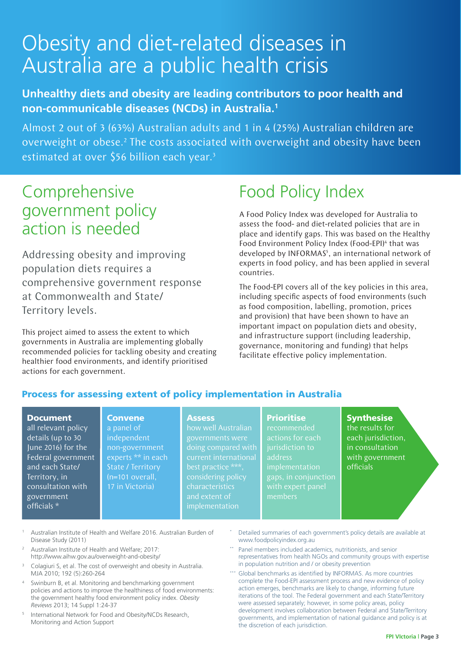# Obesity and diet-related diseases in Australia are a public health crisis

#### **Unhealthy diets and obesity are leading contributors to poor health and non-communicable diseases (NCDs) in Australia.1**

Almost 2 out of 3 (63%) Australian adults and 1 in 4 (25%) Australian children are overweight or obese.<sup>2</sup> The costs associated with overweight and obesity have been estimated at over \$56 billion each year.<sup>3</sup>

## Comprehensive government policy action is needed

Addressing obesity and improving population diets requires a comprehensive government response at Commonwealth and State/ Territory levels.

This project aimed to assess the extent to which governments in Australia are implementing globally recommended policies for tackling obesity and creating healthier food environments, and identify prioritised actions for each government.

> **Convene** a panel of independent

State / Territory (n=101 overall, 17 in Victoria)

# Food Policy Index

A Food Policy Index was developed for Australia to assess the food- and diet-related policies that are in place and identify gaps. This was based on the Healthy Food Environment Policy Index (Food-EPI)<sup>4</sup> that was developed by INFORMAS<sup>5</sup>, an international network of experts in food policy, and has been applied in several countries.

The Food-EPI covers all of the key policies in this area, including specific aspects of food environments (such as food composition, labelling, promotion, prices and provision) that have been shown to have an important impact on population diets and obesity, and infrastructure support (including leadership, governance, monitoring and funding) that helps facilitate effective policy implementation.

#### Process for assessing extent of policy implementation in Australia

#### Document

all relevant policy details (up to 30 June 2016) for the Federal government and each State/ Territory, in consultation with government officials \*

#### **Assess**

non-government experts \*\* in each how well Australian governments were doing compared with best practice \*\*\*, considering policy characteristics implementation

#### **Prioritise**

recommended actions for each address implementation gaps, in conjunction members

**Synthesise** the results for

each jurisdiction, in consultation with government officials

- <sup>1</sup> Australian Institute of Health and Welfare 2016. Australian Burden of Disease Study (2011)
- <sup>2</sup> Australian Institute of Health and Welfare; 2017: http://www.aihw.gov.au/overweight-and-obesity/
- <sup>3</sup> Colagiuri S, et al. The cost of overweight and obesity in Australia. MJA 2010; 192 (5):260-264
- Swinburn B, et al. Monitoring and benchmarking government policies and actions to improve the healthiness of food environments: the government healthy food environment policy index. *Obesity Reviews* 2013; 14 Suppl 1:24-37
- <sup>5</sup> International Network for Food and Obesity/NCDs Research, Monitoring and Action Support
- Detailed summaries of each government's policy details are available at www.foodpolicyindex.org.au
- Panel members included academics, nutritionists, and senior representatives from health NGOs and community groups with expertise in population nutrition and / or obesity prevention
- Global benchmarks as identified by INFORMAS. As more countries complete the Food-EPI assessment process and new evidence of policy action emerges, benchmarks are likely to change, informing future iterations of the tool. The Federal government and each State/Territory were assessed separately; however, in some policy areas, policy development involves collaboration between Federal and State/Territory governments, and implementation of national guidance and policy is at the discretion of each jurisdiction.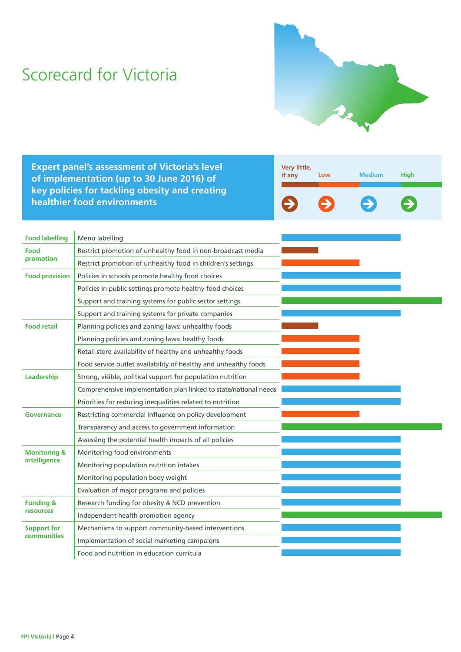# Scorecard for Victoria



**Expert panel's assessment of Victoria's level of implementation (up to 30 June 2016) of key policies for tackling obesity and creating healthier food environments**

| Very little,<br>if any | Low | <b>Medium</b> | <b>High</b> |
|------------------------|-----|---------------|-------------|
| $\rightarrow$          |     | E)            | £7          |

| <b>Food labelling</b>   | Menu labelling                                                   |  |
|-------------------------|------------------------------------------------------------------|--|
| Food                    | Restrict promotion of unhealthy food in non-broadcast media      |  |
| promotion               | Restrict promotion of unhealthy food in children's settings      |  |
| <b>Food provision</b>   | Policies in schools promote healthy food choices                 |  |
|                         | Policies in public settings promote healthy food choices         |  |
|                         | Support and training systems for public sector settings          |  |
|                         | Support and training systems for private companies               |  |
| <b>Food retail</b>      | Planning policies and zoning laws: unhealthy foods               |  |
|                         | Planning policies and zoning laws: healthy foods                 |  |
|                         | Retail store availability of healthy and unhealthy foods         |  |
|                         | Food service outlet availability of healthy and unhealthy foods  |  |
| Leadership              | Strong, visible, political support for population nutrition      |  |
|                         | Comprehensive implementation plan linked to state/national needs |  |
|                         | Priorities for reducing inequalities related to nutrition        |  |
| Governance              | Restricting commercial influence on policy development           |  |
|                         | Transparency and access to government information                |  |
|                         | Assessing the potential health impacts of all policies           |  |
| <b>Monitoring &amp;</b> | Monitoring food environments                                     |  |
| intelligence            | Monitoring population nutrition intakes                          |  |
|                         | Monitoring population body weight                                |  |
|                         | Evaluation of major programs and policies                        |  |
| <b>Funding &amp;</b>    | Research funding for obesity & NCD prevention                    |  |
| resources               | Independent health promotion agency                              |  |
| <b>Support for</b>      | Mechanisms to support community-based interventions              |  |
| communities             | Implementation of social marketing campaigns                     |  |
|                         | Food and nutrition in education curricula                        |  |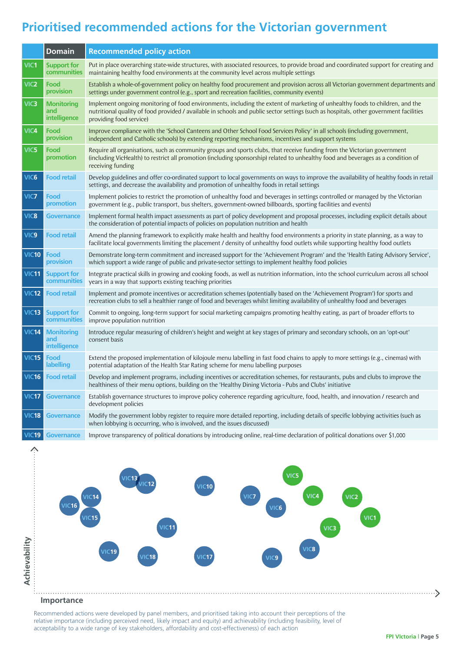### **Prioritised recommended actions for the Victorian government**

|                  | <b>Domain</b>                            | <b>Recommended policy action</b>                                                                                                                                                                                                                                                                  |
|------------------|------------------------------------------|---------------------------------------------------------------------------------------------------------------------------------------------------------------------------------------------------------------------------------------------------------------------------------------------------|
| VIC1             | <b>Support for</b><br>communities        | Put in place overarching state-wide structures, with associated resources, to provide broad and coordinated support for creating and<br>maintaining healthy food environments at the community level across multiple settings                                                                     |
| VIC <sub>2</sub> | Food<br>provision                        | Establish a whole-of-government policy on healthy food procurement and provision across all Victorian government departments and<br>settings under government control (e.g., sport and recreation facilities, community events)                                                                   |
| VIC <sub>3</sub> | <b>Monitoring</b><br>and<br>intelligence | Implement ongoing monitoring of food environments, including the extent of marketing of unhealthy foods to children, and the<br>nutritional quality of food provided / available in schools and public sector settings (such as hospitals, other government facilities<br>providing food service) |
| VIC4             | Food<br>provision                        | Improve compliance with the 'School Canteens and Other School Food Services Policy' in all schools (including government,<br>independent and Catholic schools) by extending reporting mechanisms, incentives and support systems                                                                  |
| VIC <sub>5</sub> | Food<br>promotion                        | Require all organisations, such as community groups and sports clubs, that receive funding from the Victorian government<br>(including VicHealth) to restrict all promotion (including sponsorship) related to unhealthy food and beverages as a condition of<br>receiving funding                |
| VIC <sub>6</sub> | <b>Food retail</b>                       | Develop guidelines and offer co-ordinated support to local governments on ways to improve the availability of healthy foods in retail<br>settings, and decrease the availability and promotion of unhealthy foods in retail settings                                                              |
| VIC7             | Food<br>promotion                        | Implement policies to restrict the promotion of unhealthy food and beverages in settings controlled or managed by the Victorian<br>government (e.g., public transport, bus shelters, government-owned billboards, sporting facilities and events)                                                 |
| VIC8             | <b>Governance</b>                        | Implement formal health impact assessments as part of policy development and proposal processes, including explicit details about<br>the consideration of potential impacts of policies on population nutrition and health                                                                        |
| VIC <sub>9</sub> | <b>Food retail</b>                       | Amend the planning framework to explicitly make health and healthy food environments a priority in state planning, as a way to<br>facilitate local governments limiting the placement / density of unhealthy food outlets while supporting healthy food outlets                                   |
| <b>VIC10</b>     | Food<br>provision                        | Demonstrate long-term commitment and increased support for the 'Achievement Program' and the 'Health Eating Advisory Service',<br>which support a wide range of public and private-sector settings to implement healthy food policies                                                             |
| VIC11            | <b>Support for</b><br>communities        | Integrate practical skills in growing and cooking foods, as well as nutrition information, into the school curriculum across all school<br>years in a way that supports existing teaching priorities                                                                                              |
| <b>VIC12</b>     | <b>Food retail</b>                       | Implement and promote incentives or accreditation schemes (potentially based on the 'Achievement Program') for sports and<br>recreation clubs to sell a healthier range of food and beverages whilst limiting availability of unhealthy food and beverages                                        |
| <b>VIC13</b>     | <b>Support for</b><br>communities        | Commit to ongoing, long-term support for social marketing campaigns promoting healthy eating, as part of broader efforts to<br>improve population nutrition                                                                                                                                       |
| <b>VIC14</b>     | <b>Monitoring</b><br>and<br>intelligence | Introduce regular measuring of children's height and weight at key stages of primary and secondary schools, on an 'opt-out'<br>consent basis                                                                                                                                                      |
| <b>VIC15</b>     | Food<br>labelling                        | Extend the proposed implementation of kilojoule menu labelling in fast food chains to apply to more settings (e.g., cinemas) with<br>potential adaptation of the Health Star Rating scheme for menu labelling purposes                                                                            |
| <b>VIC16</b>     | <b>Food retail</b>                       | Develop and implement programs, including incentives or accreditation schemes, for restaurants, pubs and clubs to improve the<br>healthiness of their menu options, building on the 'Healthy Dining Victoria - Pubs and Clubs' initiative                                                         |
| <b>VIC17</b>     | <b>Governance</b>                        | Establish governance structures to improve policy coherence regarding agriculture, food, health, and innovation / research and<br>development policies                                                                                                                                            |
| <b>VIC18</b>     | <b>Governance</b>                        | Modify the government lobby register to require more detailed reporting, including details of specific lobbying activities (such as<br>when lobbying is occurring, who is involved, and the issues discussed)                                                                                     |
|                  | <b>VIC19 Governance</b>                  | Improve transparency of political donations by introducing online, real-time declaration of political donations over \$1,000                                                                                                                                                                      |



#### **Importance**

Recommended actions were developed by panel members, and prioritised taking into account their perceptions of the relative importance (including perceived need, likely impact and equity) and achievability (including feasibility, level of acceptability to a wide range of key stakeholders, affordability and cost-effectiveness) of each action

. . . . . . . . >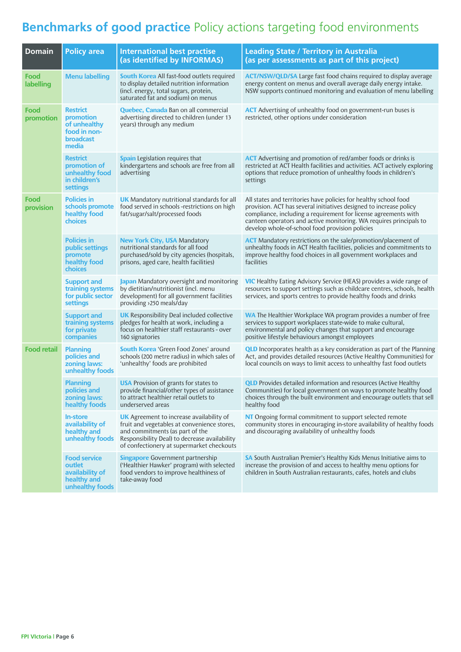### **Benchmarks of good practice** Policy actions targeting food environments

| <b>Domain</b>      | <b>Policy area</b>                                                                 | <b>International best practise</b><br>(as identified by INFORMAS)                                                                                                                                                               | <b>Leading State / Territory in Australia</b><br>(as per assessments as part of this project)                                                                                                                                                                                                                                      |  |
|--------------------|------------------------------------------------------------------------------------|---------------------------------------------------------------------------------------------------------------------------------------------------------------------------------------------------------------------------------|------------------------------------------------------------------------------------------------------------------------------------------------------------------------------------------------------------------------------------------------------------------------------------------------------------------------------------|--|
| Food<br>labelling  | <b>Menu labelling</b>                                                              | <b>South Korea</b> All fast-food outlets required<br>to display detailed nutrition information<br>(incl. energy, total sugars, protein,<br>saturated fat and sodium) on menus                                                   | <b>ACT/NSW/QLD/SA</b> Large fast food chains required to display average<br>energy content on menus and overall average daily energy intake.<br>NSW supports continued monitoring and evaluation of menu labelling                                                                                                                 |  |
| Food<br>promotion  | <b>Restrict</b><br>promotion<br>of unhealthy<br>food in non-<br>broadcast<br>media | <b>Quebec, Canada</b> Ban on all commercial<br>advertising directed to children (under 13<br>years) through any medium                                                                                                          | <b>ACT</b> Advertising of unhealthy food on government-run buses is<br>restricted, other options under consideration                                                                                                                                                                                                               |  |
|                    | <b>Restrict</b><br>promotion of<br>unhealthy food<br>in children's<br>settings     | <b>Spain</b> Legislation requires that<br>kindergartens and schools are free from all<br>advertising                                                                                                                            | <b>ACT</b> Advertising and promotion of red/amber foods or drinks is<br>restricted at ACT Health facilities and activities. ACT actively exploring<br>options that reduce promotion of unhealthy foods in children's<br>settings                                                                                                   |  |
| Food<br>provision  | <b>Policies in</b><br>schools promote<br>healthy food<br>choices                   | <b>UK</b> Mandatory nutritional standards for all<br>food served in schools -restrictions on high<br>fat/sugar/salt/processed foods                                                                                             | All states and territories have policies for healthy school food<br>provision. ACT has several initiatives designed to increase policy<br>compliance, including a requirement for license agreements with<br>canteen operators and active monitoring. WA requires principals to<br>develop whole-of-school food provision policies |  |
|                    | <b>Policies in</b><br>public settings<br>promote<br>healthy food<br><b>choices</b> | <b>New York City, USA Mandatory</b><br>nutritional standards for all food<br>purchased/sold by city agencies (hospitals,<br>prisons, aged care, health facilities)                                                              | <b>ACT</b> Mandatory restrictions on the sale/promotion/placement of<br>unhealthy foods in ACT Health facilities, policies and commitments to<br>improve healthy food choices in all government workplaces and<br>facilities                                                                                                       |  |
|                    | <b>Support and</b><br>training systems<br>for public sector<br>settings            | Japan Mandatory oversight and monitoring<br>by dietitian/nutritionist (incl. menu<br>development) for all government facilities<br>providing >250 meals/day                                                                     | <b>VIC</b> Healthy Eating Advisory Service (HEAS) provides a wide range of<br>resources to support settings such as childcare centres, schools, health<br>services, and sports centres to provide healthy foods and drinks                                                                                                         |  |
|                    | <b>Support and</b><br>training systems<br>for private<br>companies                 | <b>UK</b> Responsibility Deal included collective<br>pledges for health at work, including a<br>focus on healthier staff restaurants - over<br>160 signatories                                                                  | <b>WA</b> The Healthier Workplace WA program provides a number of free<br>services to support workplaces state-wide to make cultural,<br>environmental and policy changes that support and encourage<br>positive lifestyle behaviours amongst employees                                                                            |  |
| <b>Food retail</b> | <b>Planning</b><br>policies and<br>zoning laws:<br>unhealthy foods                 | <b>South Korea</b> 'Green Food Zones' around<br>schools (200 metre radius) in which sales of<br>'unhealthy' foods are prohibited                                                                                                | <b>QLD</b> Incorporates health as a key consideration as part of the Planning<br>Act, and provides detailed resources (Active Healthy Communities) for<br>local councils on ways to limit access to unhealthy fast food outlets                                                                                                    |  |
|                    | <b>Planning</b><br>policies and<br>zoning laws:<br>healthy foods                   | <b>USA</b> Provision of grants for states to<br>provide financial/other types of assistance<br>to attract healthier retail outlets to<br>underserved areas                                                                      | <b>QLD</b> Provides detailed information and resources (Active Healthy<br>Communities) for local government on ways to promote healthy food<br>choices through the built environment and encourage outlets that sell<br>healthy food                                                                                               |  |
|                    | <b>In-store</b><br>availability of<br>healthy and<br>unhealthy foods               | <b>UK</b> Agreement to increase availability of<br>fruit and vegetables at convenience stores,<br>and commitments (as part of the<br>Responsibility Deal) to decrease availability<br>of confectionery at supermarket checkouts | NT Ongoing formal commitment to support selected remote<br>community stores in encouraging in-store availability of healthy foods<br>and discouraging availability of unhealthy foods                                                                                                                                              |  |
|                    | <b>Food service</b><br>outlet<br>availability of<br>healthy and<br>unhealthy foods | <b>Singapore</b> Government partnership<br>('Healthier Hawker' program) with selected<br>food vendors to improve healthiness of<br>take-away food                                                                               | SA South Australian Premier's Healthy Kids Menus Initiative aims to<br>increase the provision of and access to healthy menu options for<br>children in South Australian restaurants, cafes, hotels and clubs                                                                                                                       |  |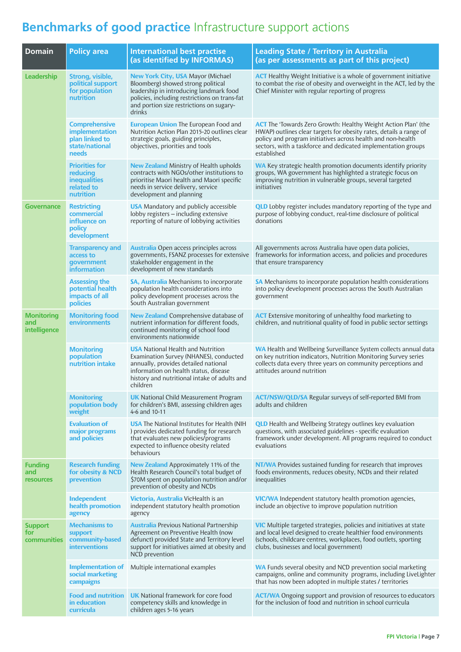# **Benchmarks of good practice** Infrastructure support actions

| <b>Domain</b>                             | <b>Policy area</b>                                                                  | <b>International best practise</b><br>(as identified by INFORMAS)                                                                                                                                                                | <b>Leading State / Territory in Australia</b><br>(as per assessments as part of this project)                                                                                                                                                                                              |
|-------------------------------------------|-------------------------------------------------------------------------------------|----------------------------------------------------------------------------------------------------------------------------------------------------------------------------------------------------------------------------------|--------------------------------------------------------------------------------------------------------------------------------------------------------------------------------------------------------------------------------------------------------------------------------------------|
| Leadership                                | Strong, visible,<br>political support<br>for population<br>nutrition                | <b>New York City, USA Mayor (Michael</b><br>Bloomberg) showed strong political<br>leadership in introducing landmark food<br>policies, including restrictions on trans-fat<br>and portion size restrictions on sugary-<br>drinks | <b>ACT</b> Healthy Weight Initiative is a whole of government initiative<br>to combat the rise of obesity and overweight in the ACT, led by the<br>Chief Minister with regular reporting of progress                                                                                       |
|                                           | <b>Comprehensive</b><br>implementation<br>plan linked to<br>state/national<br>needs | <b>European Union The European Food and</b><br>Nutrition Action Plan 2015-20 outlines clear<br>strategic goals, guiding principles,<br>objectives, priorities and tools                                                          | <b>ACT</b> The 'Towards Zero Growth: Healthy Weight Action Plan' (the<br>HWAP) outlines clear targets for obesity rates, details a range of<br>policy and program initiatives across health and non-health<br>sectors, with a taskforce and dedicated implementation groups<br>established |
|                                           | <b>Priorities for</b><br>reducing<br><b>inequalities</b><br>related to<br>nutrition | <b>New Zealand</b> Ministry of Health upholds<br>contracts with NGOs/other institutions to<br>prioritise Maori health and Maori specific<br>needs in service delivery, service<br>development and planning                       | <b>WA</b> Key strategic health promotion documents identify priority<br>groups, WA government has highlighted a strategic focus on<br>improving nutrition in vulnerable groups, several targeted<br>initiatives                                                                            |
| <b>Governance</b>                         | <b>Restricting</b><br>commercial<br>influence on<br>policy<br>development           | <b>USA</b> Mandatory and publicly accessible<br>lobby registers - including extensive<br>reporting of nature of lobbying activities                                                                                              | <b>QLD</b> Lobby register includes mandatory reporting of the type and<br>purpose of lobbying conduct, real-time disclosure of political<br>donations                                                                                                                                      |
|                                           | <b>Transparency and</b><br>access to<br>government<br><b>information</b>            | <b>Australia</b> Open access principles across<br>governments, FSANZ processes for extensive<br>stakeholder engagement in the<br>development of new standards                                                                    | All governments across Australia have open data policies,<br>frameworks for information access, and policies and procedures<br>that ensure transparency                                                                                                                                    |
|                                           | <b>Assessing the</b><br>potential health<br>impacts of all<br>policies              | <b>SA, Australia</b> Mechanisms to incorporate<br>population health considerations into<br>policy development processes across the<br>South Australian government                                                                | SA Mechanisms to incorporate population health considerations<br>into policy development processes across the South Australian<br>government                                                                                                                                               |
| <b>Monitoring</b><br>and<br>intelligence  | <b>Monitoring food</b><br>environments                                              | <b>New Zealand</b> Comprehensive database of<br>nutrient information for different foods,<br>continued monitoring of school food<br>environments nationwide                                                                      | <b>ACT</b> Extensive monitoring of unhealthy food marketing to<br>children, and nutritional quality of food in public sector settings                                                                                                                                                      |
|                                           | <b>Monitoring</b><br>population<br>nutrition intake                                 | <b>USA</b> National Health and Nutrition<br>Examination Survey (NHANES), conducted<br>annually, provides detailed national<br>information on health status, disease<br>history and nutritional intake of adults and<br>children  | WA Health and Wellbeing Surveillance System collects annual data<br>on key nutrition indicators, Nutrition Monitoring Survey series<br>collects data every three years on community perceptions and<br>attitudes around nutrition                                                          |
|                                           | <b>Monitoring</b><br>population body<br>weight                                      | <b>UK</b> National Child Measurement Program<br>for children's BMI, assessing children ages<br>4-6 and 10-11                                                                                                                     | <b>ACT/NSW/QLD/SA</b> Regular surveys of self-reported BMI from<br>adults and children                                                                                                                                                                                                     |
|                                           | <b>Evaluation of</b><br>major programs<br>and policies                              | <b>USA</b> The National Institutes for Health (NIH<br>) provides dedicated funding for research<br>that evaluates new policies/programs<br>expected to influence obesity related<br>behaviours                                   | <b>QLD</b> Health and Wellbeing Strategy outlines key evaluation<br>questions, with associated guidelines - specific evaluation<br>framework under development. All programs required to conduct<br>evaluations                                                                            |
| <b>Funding</b><br>and<br><b>resources</b> | <b>Research funding</b><br>for obesity & NCD<br>prevention                          | New Zealand Approximately 11% of the<br>Health Research Council's total budget of<br>\$70M spent on population nutrition and/or<br>prevention of obesity and NCDs                                                                | <b>NT/WA</b> Provides sustained funding for research that improves<br>foods environments, reduces obesity, NCDs and their related<br>inequalities                                                                                                                                          |
|                                           | Independent<br>health promotion<br>agency                                           | Victoria, Australia VicHealth is an<br>independent statutory health promotion<br>agency                                                                                                                                          | <b>VIC/WA</b> Independent statutory health promotion agencies,<br>include an objective to improve population nutrition                                                                                                                                                                     |
| <b>Support</b><br>for<br>communities      | <b>Mechanisms to</b><br>support<br>community-based<br><b>interventions</b>          | <b>Australia</b> Previous National Partnership<br>Agreement on Preventive Health (now<br>defunct) provided State and Territory level<br>support for initiatives aimed at obesity and<br>NCD prevention                           | <b>VIC</b> Multiple targeted strategies, policies and initiatives at state<br>and local level designed to create healthier food environments<br>(schools, childcare centres, workplaces, food outlets, sporting<br>clubs, businesses and local government)                                 |
|                                           | <b>Implementation of</b><br>social marketing<br>campaigns                           | Multiple international examples                                                                                                                                                                                                  | WA Funds several obesity and NCD prevention social marketing<br>campaigns, online and community programs, including LiveLighter<br>that has now been adopted in multiple states / territories                                                                                              |
|                                           | <b>Food and nutrition</b><br>in education<br>curricula                              | <b>UK</b> National framework for core food<br>competency skills and knowledge in<br>children ages 5-16 years                                                                                                                     | <b>ACT/WA</b> Ongoing support and provision of resources to educators<br>for the inclusion of food and nutrition in school curricula                                                                                                                                                       |